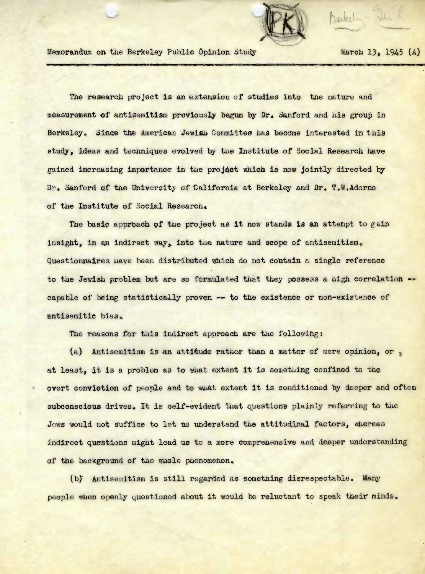

Memorandum on the Berkeley Public Opinion Study March 13, 1945 (A)

Seikel - Den

The research project is an extension of studies into the nature and measurement of antisemitism previously begun by Dr. Sanford and nis group in Berkeley. Since the American Jewish Committee has become interested in this study, ideas and techniques evolved by the Institute of Social Research have gained increasing importance in the project which is now jointly directed by Dr. Sanford of the University of California at Berkeley and Dr. T.W.Adorno of the Institute of Social Research.

The basic approach of the project as it now stands is an attempt to gain insight, in an indirect way, into the nature and scope of antisemitism. Questionnaires have been distributed which do not contain a single reference to the Jewish problem but are so formulated that they possess a nigh correlation  $$ capable of being statistically proven ~ to tne existence or non-existence of antisemitic bias.

The reasons for this indirect approach are the following:

(a) Antisemitism is an attitude rather than a matter of mere opinion, or  $_{\ast}$ at least, it is a problem as to what extent it is something confined to the overt conviction of people and to what extent it is conditioned by deeper and often subconscious drives. It is self-evident that questions plainly referring to the Jews would not suffice to let us understand the attitudinal factors, whereas indirect questions might lead us to a more comprehensive and deeper understanding of the background of the whole puenomenon.

(b) Antisemitism is still regarded as something disrespectable. Many people when openly questioned about it would be reluctant to speak their minds.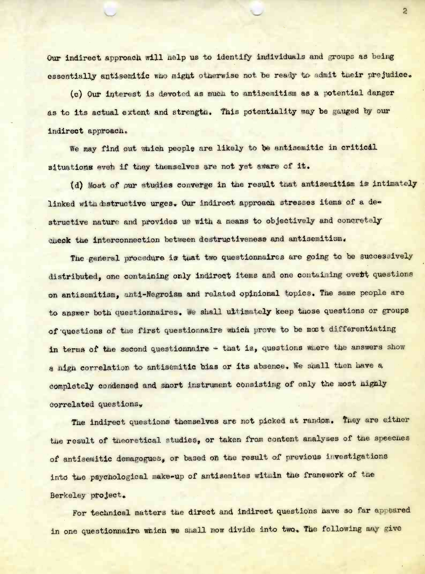Our indirect approach will help us to identify individuals and groups as being essentially antisemitic who might otherwise not be ready to admit their prejudice.

(c) Our interest is devoted as muca to antisemitism as a 'potential danger as to its actual extent and strength. This potentiality may be gauged by our indirect approach.

We may find out which people are likely to be antisemitic in critical situations even if they themselves are not yet aware of it.

(d) Most of our studies converge in the result that antisemitism is intimately linked with destructive urges. Our indirect approach stresses items of a destructive nature and provides us with a means to objectively and concretely check the interconnection between destructiveness and antisemitism.

The general procedure is tuat two questionnaires are going to be successively distributed, one containing only indirect items and one containing overt questions on antisemitism, anti-Negroism and related opinional topics. The same people are to answer both questionnaires. We shall ultimately keep those questions or groups of questions of the first questionnaire which prove to be most differentiating in terms of the second questionnaire - that is, questions where the answers show a nigh correlation to antisemitic bias or its absence. We shall then have a completely condensed and snort instrument consisting of only the most nighly correlated questions.

The indirect questions themselves are not picked at random. They are either the result of theoretical studies, or taken from content analyses of the speeches of antisemitic demagogues, or based on the result of previous investigations into the psychological make-up of antisemites within the framework of the Berkeley project,

For technical matters the direct and indirect questions have so far appeared in one questionnaire which we shall now divide into two. The following may give

 $\overline{2}$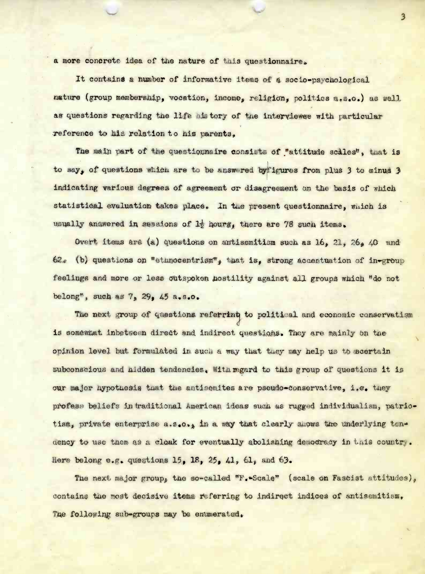a more concrete idea of the nature of this questionnaire.

It contains a number of informative items of a socio-psychological nature (group membership, vocation, income, religion, politics a.s.o.) as well as questions regarding the life history of the interviewee with particular reference to his relation to his parents.

The main part of the questionnaire consists of "attitude scales", that is to say, of questions which are to be answered by ligures from plus 3 to minus 3 indicating various degrees of agreement or disagreement on the basis of which statistical evaluation takes place. In the present questionnaire, which is usually answered in sassions of 1; hourg, there are 78 such items.

Overt items are (a) questions on antisemitism such as 16, 21, 26, 40 and 62. (b) questions on "ethnocentrism", that is, strong accentration of in-group feelings and more or less outspoken hostility against all groups which "do not belong", such as  $7, 29, 45$  a.s.o.

The next group of questions referring to political and economic conservatism is somewhat inbetween direct and indirect questions. They are mainly on the opinion level but formulated in such a way that they may help us to scertain subconscious and hidden tendencies. With regard to this group of questions it is our major hypothesis that the antisemites are pseudo-conservative, i.e. they profess beliefs in traditional American ideas such as rugged individualism, patriotism, private enterprise a.s.o., in a way that clearly slows the underlying tendency to use them as a cloak for eventually abolishing democracy in this country. Here belong e.g. questions 15, 18, 25, 41, 61, and 63.

The next major group, the so-called "F. Scale" (scale on Fascist attitudes), contains the most decisive items referring to indirect indices of antisemitism, The following sub-groups may be enumerated.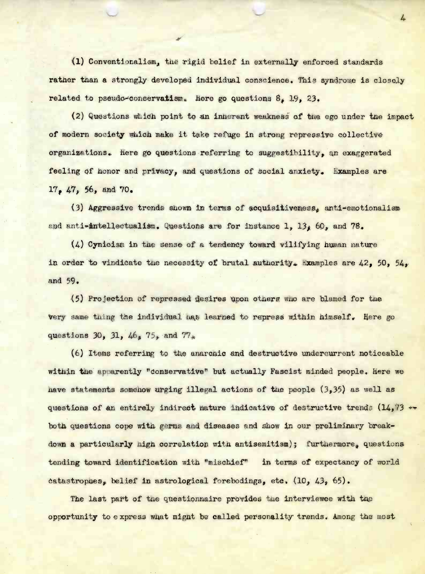(1) Conventionalism, tue rigid belief in externally enforced standards rather than a strongly developed individual conscience. This syndrome is closely related to pseudo-conservatism. Here go questions 8, 19, 23.

(2) Questions **which** point to an Inherent weakness of tne ego under tue impact of modern society wuich make it take refuge in strong repressive collective organizations. Here go questions referring to suggestibility, an exaggerated feeling of honor and privacy, and questions of social anxiety. Examples are 17, 47, 56, and 70.

(3) Aggressive trends shown in terms of acquisitiveness, anti-emotionalism and anti-intellectualism. Questions are for instance  $1, 13$ ,  $60$ , and 78.

(4.) Cynicism in the sense of a tendency toward vilifying human nature in order to vindicate the necessity of brutal authority. Examples are  $42$ ,  $50$ ,  $54$ , and 59.

(5) Projection of repressed desires upon others who are blamed for tue very same) **thing** the individual nas learned to repress within himself, iiere go questions 30, 31, 46, 75, and 77.

 $(6)$  Items referring to the anarchic and destructive undercurrent noticeable within the' apparently "conservative" but actually Fascist minded people. Here we have statements somehow urging illegal actions of the people (3,35) as well as questions of an entirely indirect nature indicative of destructive trends  $(14, 73 \leftrightarrow$ both questions cope with germs and diseases and show in our preliminary breakdown a particularly high correlation with antisemitism); furthermore, questions tending toward identification with "mischief" in terms of expectancy of world catastrophes, belief in astrological forebodings, etc. (10, 43, 65).

The last part of the questionnaire provides the interviewee with the opportunity to express what might be called personality trends. Among the most